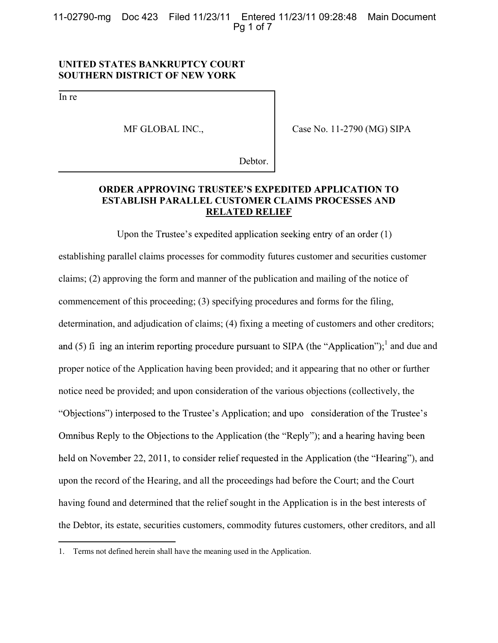11-02790-mg Doc 423 Filed 11/23/11 Entered 11/23/11 09:28:48 Main Document Pq 1 of 7

## **UNITED STATES BANKRUPTCY COURT SOUTHERN DISTRICT OF NEW YORK**

In re

 $\overline{a}$ 

MF GLOBAL INC.,

Case No. 11-2790 (MG) SIPA

Debtor.

# **ORDER APPROVING TRUSTEE'S EXPEDITED APPLICATION TO ESTABLISH PARALLEL CUSTOMER CLAIMS PROCESSES AND RELATED RELIEF**

Upon the Trustee's expedited application seeking entry of an order  $(1)$ establishing parallel claims processes for commodity futures customer and securities customer claims; (2) approving the form and manner of the publication and mailing of the notice of commencement of this proceeding; (3) specifying procedures and forms for the filing, determination, and adjudication of claims; (4) fixing a meeting of customers and other creditors; <sup>1</sup> and due and proper notice of the Application having been provided; and it appearing that no other or further notice need be provided; and upon consideration of the various objections (collectively, the "Objections") interposed to the Trustee's Application; and upo consideration of the Trustee's Omnibus Reply to the Objections to the Application (the "Reply"); and a hearing having been held on November 22, 2011, to consider relief requested in the Application (the "Hearing"), and upon the record of the Hearing, and all the proceedings had before the Court; and the Court having found and determined that the relief sought in the Application is in the best interests of the Debtor, its estate, securities customers, commodity futures customers, other creditors, and all

<sup>1.</sup> Terms not defined herein shall have the meaning used in the Application.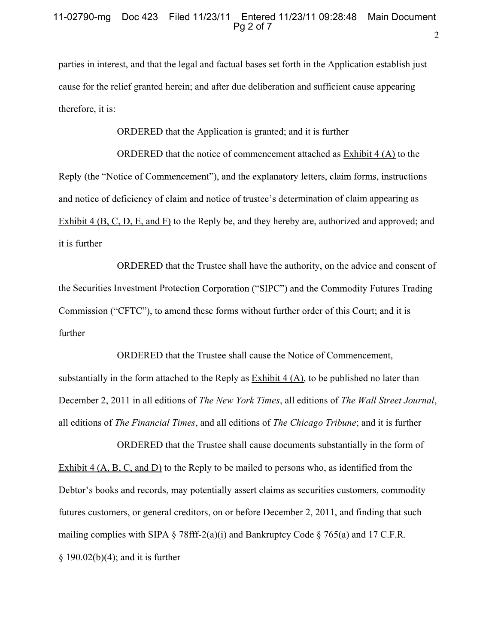parties in interest, and that the legal and factual bases set forth in the Application establish just cause for the relief granted herein; and after due deliberation and sufficient cause appearing therefore, it is:

ORDERED that the Application is granted; and it is further

ORDERED that the notice of commencement attached as Exhibit 4 (A) to the Reply (the "Notice of Commencement"), and the explanatory letters, claim forms, instructions and notice of deficiency of claim and notice of trustee's determination of claim appearing as Exhibit 4 (B, C, D, E, and F) to the Reply be, and they hereby are, authorized and approved; and it is further

ORDERED that the Trustee shall have the authority, on the advice and consent of the Securities Investment Protection Corporation ("SIPC") and the Commodity Futures Trading Commission ("CFTC"), to amend these forms without further order of this Court; and it is further

ORDERED that the Trustee shall cause the Notice of Commencement, substantially in the form attached to the Reply as Exhibit  $4(A)$ , to be published no later than December 2, 2011 in all editions of *The New York Times*, all editions of *The Wall Street Journal*, all editions of *The Financial Times*, and all editions of *The Chicago Tribune*; and it is further

ORDERED that the Trustee shall cause documents substantially in the form of Exhibit 4  $(A, B, C, and D)$  to the Reply to be mailed to persons who, as identified from the Debtor's books and records, may potentially assert claims as securities customers, commodity futures customers, or general creditors, on or before December 2, 2011, and finding that such mailing complies with SIPA § 78fff-2(a)(i) and Bankruptcy Code § 765(a) and 17 C.F.R.  $§ 190.02(b)(4);$  and it is further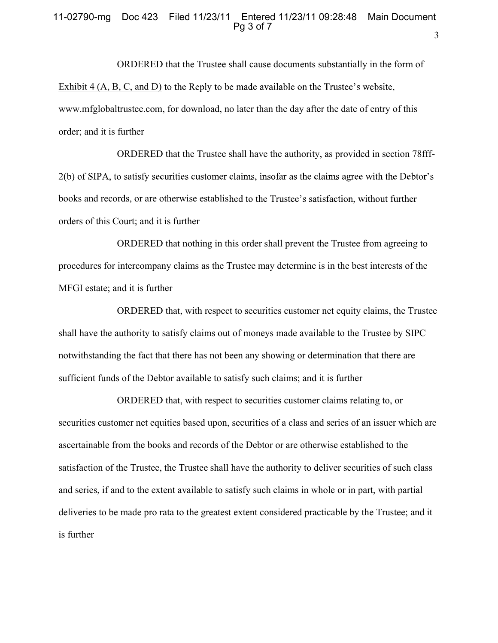## 11-02790-mg Doc 423 Filed 11/23/11 Entered 11/23/11 09:28:48 Main Document  $Pq 3 of 7$

ORDERED that the Trustee shall cause documents substantially in the form of Exhibit 4 (A, B, C, and D) to the Reply to be made available on the Trustee's website, www.mfglobaltrustee.com, for download, no later than the day after the date of entry of this order; and it is further

ORDERED that the Trustee shall have the authority, as provided in section 78fff-2(b) of SIPA, to satisfy securities customer claims, insofar as the claims agree with the Debtor's books and records, or are otherwise established to the Trustee's satisfaction, without further orders of this Court; and it is further

ORDERED that nothing in this order shall prevent the Trustee from agreeing to procedures for intercompany claims as the Trustee may determine is in the best interests of the MFGI estate; and it is further

ORDERED that, with respect to securities customer net equity claims, the Trustee shall have the authority to satisfy claims out of moneys made available to the Trustee by SIPC notwithstanding the fact that there has not been any showing or determination that there are sufficient funds of the Debtor available to satisfy such claims; and it is further

ORDERED that, with respect to securities customer claims relating to, or securities customer net equities based upon, securities of a class and series of an issuer which are ascertainable from the books and records of the Debtor or are otherwise established to the satisfaction of the Trustee, the Trustee shall have the authority to deliver securities of such class and series, if and to the extent available to satisfy such claims in whole or in part, with partial deliveries to be made pro rata to the greatest extent considered practicable by the Trustee; and it is further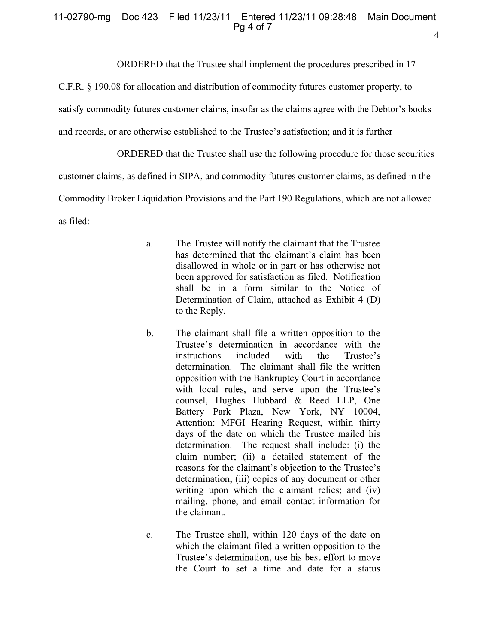#### 4 11-02790-mg Doc 423 Filed 11/23/11 Entered 11/23/11 09:28:48 Main Document  $Pq 4 of 7$

ORDERED that the Trustee shall implement the procedures prescribed in 17

C.F.R. § 190.08 for allocation and distribution of commodity futures customer property, to

satisfy commodity futures customer claims, insofar as the claims agree with the Debtor's books

and records, or are otherwise established to the Trustee's satisfaction; and it is further

ORDERED that the Trustee shall use the following procedure for those securities

customer claims, as defined in SIPA, and commodity futures customer claims, as defined in the

Commodity Broker Liquidation Provisions and the Part 190 Regulations, which are not allowed

as filed:

- a. The Trustee will notify the claimant that the Trustee has determined that the claimant's claim has been disallowed in whole or in part or has otherwise not been approved for satisfaction as filed. Notification shall be in a form similar to the Notice of Determination of Claim, attached as Exhibit 4 (D) to the Reply.
- b. The claimant shall file a written opposition to the Trustee's determination in accordance with the with Trustee's instructions included the determination. The claimant shall file the written opposition with the Bankruptcy Court in accordance with local rules, and serve upon the Trustee's counsel, Hughes Hubbard & Reed LLP, One Battery Park Plaza, New York, NY 10004, Attention: MFGI Hearing Request, within thirty days of the date on which the Trustee mailed his determination. The request shall include: (i) the claim number; (ii) a detailed statement of the reasons for the claimant's objection to the Trustee's determination; (iii) copies of any document or other writing upon which the claimant relies; and (iv) mailing, phone, and email contact information for the claimant.
- c. The Trustee shall, within 120 days of the date on which the claimant filed a written opposition to the Trustee's determination, use his best effort to move the Court to set a time and date for a status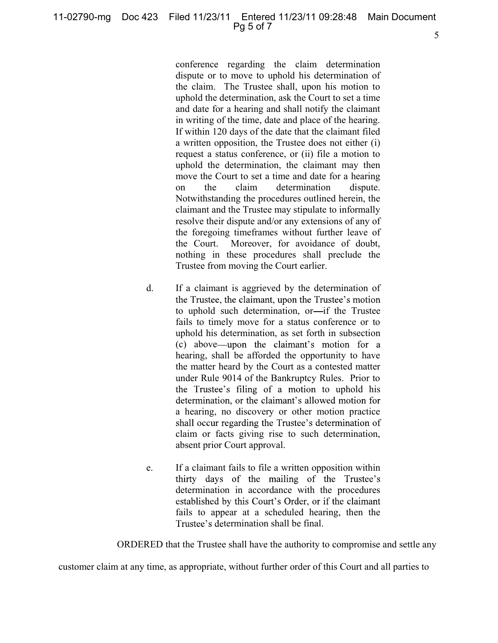conference regarding the claim determination dispute or to move to uphold his determination of the claim. The Trustee shall, upon his motion to uphold the determination, ask the Court to set a time and date for a hearing and shall notify the claimant in writing of the time, date and place of the hearing. If within 120 days of the date that the claimant filed a written opposition, the Trustee does not either (i) request a status conference, or (ii) file a motion to uphold the determination, the claimant may then move the Court to set a time and date for a hearing on the claim determination dispute. Notwithstanding the procedures outlined herein, the claimant and the Trustee may stipulate to informally resolve their dispute and/or any extensions of any of the foregoing timeframes without further leave of the Court. Moreover, for avoidance of doubt, nothing in these procedures shall preclude the Trustee from moving the Court earlier.

- d. If a claimant is aggrieved by the determination of the Trustee, the claimant, upon the Trustee's motion to uphold such determination, or-if the Trustee fails to timely move for a status conference or to uphold his determination, as set forth in subsection (c) above—upon the claimant's motion for a hearing, shall be afforded the opportunity to have the matter heard by the Court as a contested matter under Rule 9014 of the Bankruptcy Rules. Prior to the Trustee's filing of a motion to uphold his<br>determination, or the claimant's allowed motion for a hearing, no discovery or other motion practice shall occur regarding the Trustee's determination of claim or facts giving rise to such determination, absent prior Court approval.
- e. If a claimant fails to file a written opposition within thirty days of the mailing of the Trustee's determination in accordance with the procedures<br>established by this Court's Order, or if the claimant fails to appear at a scheduled hearing, then the Trustee's determination shall be final.

ORDERED that the Trustee shall have the authority to compromise and settle any

customer claim at any time, as appropriate, without further order of this Court and all parties to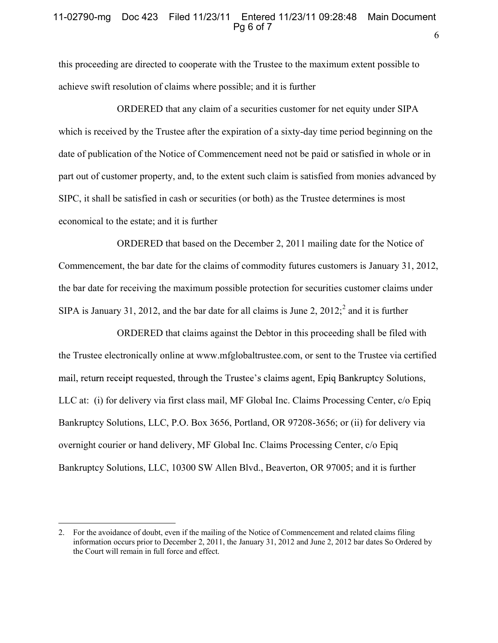### 6 11-02790-mg Doc 423 Filed 11/23/11 Entered 11/23/11 09:28:48 Main Document Pq 6 of 7

this proceeding are directed to cooperate with the Trustee to the maximum extent possible to achieve swift resolution of claims where possible; and it is further

ORDERED that any claim of a securities customer for net equity under SIPA which is received by the Trustee after the expiration of a sixty-day time period beginning on the date of publication of the Notice of Commencement need not be paid or satisfied in whole or in part out of customer property, and, to the extent such claim is satisfied from monies advanced by SIPC, it shall be satisfied in cash or securities (or both) as the Trustee determines is most economical to the estate; and it is further

ORDERED that based on the December 2, 2011 mailing date for the Notice of Commencement, the bar date for the claims of commodity futures customers is January 31, 2012, the bar date for receiving the maximum possible protection for securities customer claims under SIPA is January 31, 2012, and the bar date for all claims is June 2,  $2012$ ; and it is further

ORDERED that claims against the Debtor in this proceeding shall be filed with the Trustee electronically online at www.mfglobaltrustee.com, or sent to the Trustee via certified mail, return receipt requested, through the Trustee's claims agent, Epiq Bankruptcy Solutions, LLC at: (i) for delivery via first class mail, MF Global Inc. Claims Processing Center, c/o Epiq Bankruptcy Solutions, LLC, P.O. Box 3656, Portland, OR 97208-3656; or (ii) for delivery via overnight courier or hand delivery, MF Global Inc. Claims Processing Center, c/o Epiq Bankruptcy Solutions, LLC, 10300 SW Allen Blvd., Beaverton, OR 97005; and it is further

 $\overline{a}$ 

<sup>2.</sup> For the avoidance of doubt, even if the mailing of the Notice of Commencement and related claims filing information occurs prior to December 2, 2011, the January 31, 2012 and June 2, 2012 bar dates So Ordered by the Court will remain in full force and effect.